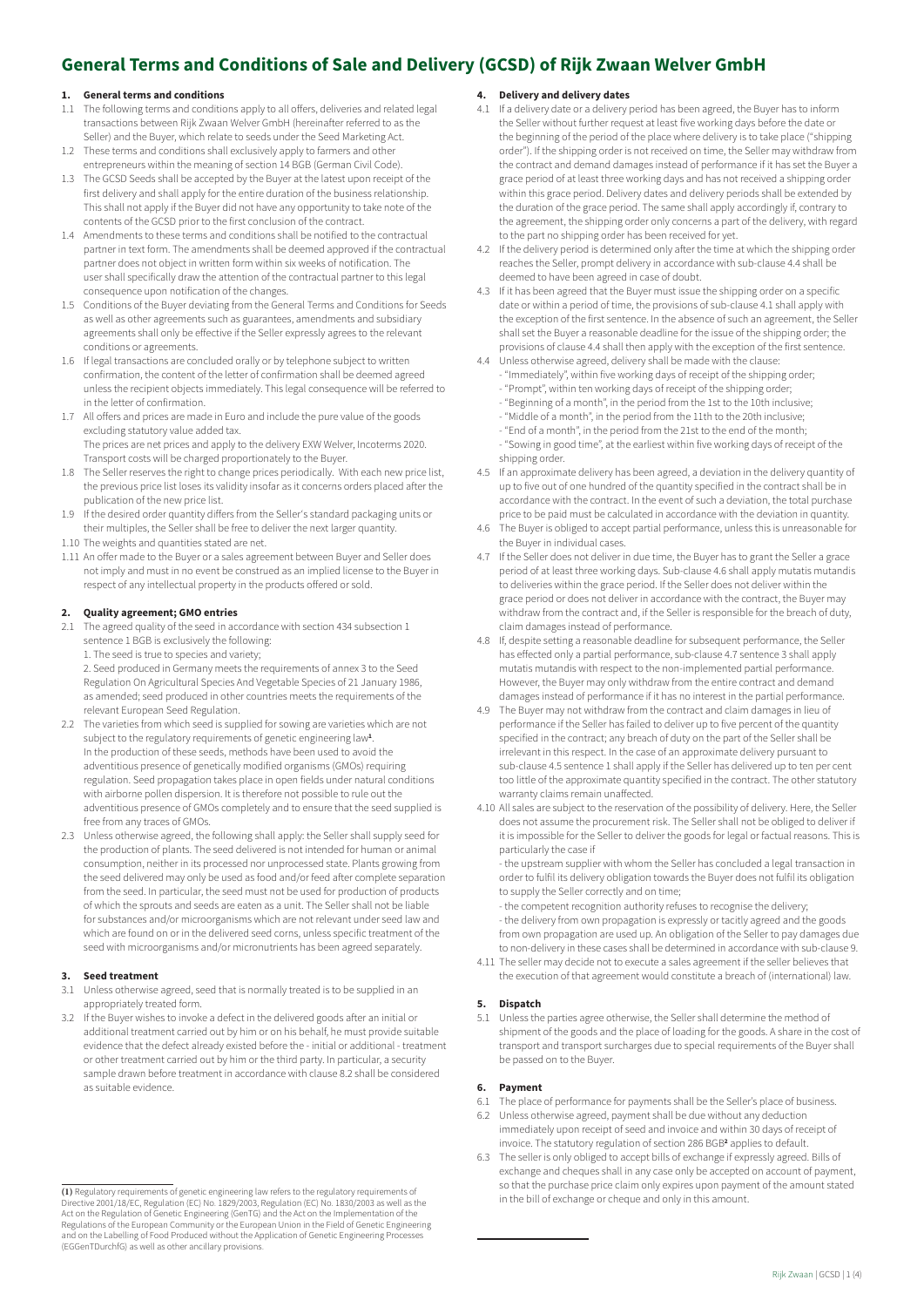# **General Terms and Conditions of Sale and Delivery (GCSD) of Rijk Zwaan Welver GmbH**

# **1. General terms and conditions**

- 1.1 The following terms and conditions apply to all offers, deliveries and related legal transactions between Rijk Zwaan Welver GmbH (hereinafter referred to as the Seller) and the Buyer, which relate to seeds under the Seed Marketing Act.
- 1.2 These terms and conditions shall exclusively apply to farmers and other entrepreneurs within the meaning of section 14 BGB (German Civil Code).
- 1.3 The GCSD Seeds shall be accepted by the Buyer at the latest upon receipt of the first delivery and shall apply for the entire duration of the business relationship. This shall not apply if the Buyer did not have any opportunity to take note of the contents of the GCSD prior to the first conclusion of the contract.
- 1.4 Amendments to these terms and conditions shall be notified to the contractual partner in text form. The amendments shall be deemed approved if the contractual partner does not object in written form within six weeks of notification. The user shall specifically draw the attention of the contractual partner to this legal consequence upon notification of the changes.
- 1.5 Conditions of the Buyer deviating from the General Terms and Conditions for Seeds as well as other agreements such as guarantees, amendments and subsidiary agreements shall only be effective if the Seller expressly agrees to the relevant conditions or agreements.
- 1.6 If legal transactions are concluded orally or by telephone subject to written confirmation, the content of the letter of confirmation shall be deemed agreed unless the recipient objects immediately. This legal consequence will be referred to in the letter of confirmation.
- 1.7 All offers and prices are made in Euro and include the pure value of the goods excluding statutory value added tax. The prices are net prices and apply to the delivery EXW Welver, Incoterms 2020.

Transport costs will be charged proportionately to the Buyer.

- 1.8 The Seller reserves the right to change prices periodically. With each new price list, the previous price list loses its validity insofar as it concerns orders placed after the publication of the new price list.
- 1.9 If the desired order quantity differs from the Seller's standard packaging units or their multiples, the Seller shall be free to deliver the next larger quantity.
- 1.10 The weights and quantities stated are net.
- 1.11 An offer made to the Buyer or a sales agreement between Buyer and Seller does not imply and must in no event be construed as an implied license to the Buyer in respect of any intellectual property in the products offered or sold.

# **2. Quality agreement; GMO entries**

- 2.1 The agreed quality of the seed in accordance with section 434 subsection 1 sentence 1 BGB is exclusively the following:
	- 1. The seed is true to species and variety;

2. Seed produced in Germany meets the requirements of annex 3 to the Seed Regulation On Agricultural Species And Vegetable Species of 21 January 1986, as amended; seed produced in other countries meets the requirements of the relevant European Seed Regulation.

- 2.2 The varieties from which seed is supplied for sowing are varieties which are not subject to the regulatory requirements of genetic engineering law**<sup>1</sup>** . In the production of these seeds, methods have been used to avoid the adventitious presence of genetically modified organisms (GMOs) requiring regulation. Seed propagation takes place in open fields under natural conditions with airborne pollen dispersion. It is therefore not possible to rule out the adventitious presence of GMOs completely and to ensure that the seed supplied is free from any traces of GMOs.
- 2.3 Unless otherwise agreed, the following shall apply: the Seller shall supply seed for the production of plants. The seed delivered is not intended for human or animal consumption, neither in its processed nor unprocessed state. Plants growing from the seed delivered may only be used as food and/or feed after complete separation from the seed. In particular, the seed must not be used for production of products of which the sprouts and seeds are eaten as a unit. The Seller shall not be liable for substances and/or microorganisms which are not relevant under seed law and which are found on or in the delivered seed corns, unless specific treatment of the seed with microorganisms and/or micronutrients has been agreed separately.

#### **3. Seed treatment**

- 3.1 Unless otherwise agreed, seed that is normally treated is to be supplied in an appropriately treated form.
- 3.2 If the Buyer wishes to invoke a defect in the delivered goods after an initial or additional treatment carried out by him or on his behalf, he must provide suitable evidence that the defect already existed before the - initial or additional - treatment or other treatment carried out by him or the third party. In particular, a security sample drawn before treatment in accordance with clause 8.2 shall be considered as suitable evidence

# **4. Delivery and delivery dates**

- 4.1 If a delivery date or a delivery period has been agreed, the Buyer has to inform the Seller without further request at least five working days before the date or the beginning of the period of the place where delivery is to take place ("shipping order"). If the shipping order is not received on time, the Seller may withdraw from the contract and demand damages instead of performance if it has set the Buyer a grace period of at least three working days and has not received a shipping order within this grace period. Delivery dates and delivery periods shall be extended by the duration of the grace period. The same shall apply accordingly if, contrary to the agreement, the shipping order only concerns a part of the delivery, with regard to the part no shipping order has been received for yet.
- 4.2 If the delivery period is determined only after the time at which the shipping order reaches the Seller, prompt delivery in accordance with sub-clause 4.4 shall be deemed to have been agreed in case of doubt.
- 4.3 If it has been agreed that the Buyer must issue the shipping order on a specific date or within a period of time, the provisions of sub-clause 4.1 shall apply with the exception of the first sentence. In the absence of such an agreement, the Seller shall set the Buyer a reasonable deadline for the issue of the shipping order; the provisions of clause 4.4 shall then apply with the exception of the first sentence.
- 4.4 Unless otherwise agreed, delivery shall be made with the clause: "Immediately", within five working days of receipt of the shipping order; - "Prompt", within ten working days of receipt of the shipping order;
	- "Beginning of a month", in the period from the 1st to the 10th inclusive;
	- "Middle of a month", in the period from the 11th to the 20th inclusive;
	- "End of a month", in the period from the 21st to the end of the month;

- "Sowing in good time", at the earliest within five working days of receipt of the shipping order.

- 4.5 If an approximate delivery has been agreed, a deviation in the delivery quantity of up to five out of one hundred of the quantity specified in the contract shall be in accordance with the contract. In the event of such a deviation, the total purchase price to be paid must be calculated in accordance with the deviation in quantity.
- 4.6 The Buyer is obliged to accept partial performance, unless this is unreasonable for the Buyer in individual cases.
- 4.7 If the Seller does not deliver in due time, the Buyer has to grant the Seller a grace period of at least three working days. Sub-clause 4.6 shall apply mutatis mutandis to deliveries within the grace period. If the Seller does not deliver within the grace period or does not deliver in accordance with the contract, the Buyer may withdraw from the contract and, if the Seller is responsible for the breach of duty, claim damages instead of performance.
- 4.8 If, despite setting a reasonable deadline for subsequent performance, the Seller has effected only a partial performance, sub-clause 4.7 sentence 3 shall apply mutatis mutandis with respect to the non-implemented partial performance. However, the Buyer may only withdraw from the entire contract and demand damages instead of performance if it has no interest in the partial performance.
- 4.9 The Buyer may not withdraw from the contract and claim damages in lieu of performance if the Seller has failed to deliver up to five percent of the quantity specified in the contract; any breach of duty on the part of the Seller shall be irrelevant in this respect. In the case of an approximate delivery pursuant to sub-clause 4.5 sentence 1 shall apply if the Seller has delivered up to ten per cent too little of the approximate quantity specified in the contract. The other statutory warranty claims remain unaffected.
- 4.10 All sales are subject to the reservation of the possibility of delivery. Here, the Seller does not assume the procurement risk. The Seller shall not be obliged to deliver if it is impossible for the Seller to deliver the goods for legal or factual reasons. This is particularly the case if

- the upstream supplier with whom the Seller has concluded a legal transaction in order to fulfil its delivery obligation towards the Buyer does not fulfil its obligation to supply the Seller correctly and on time;

- the competent recognition authority refuses to recognise the delivery;

- the delivery from own propagation is expressly or tacitly agreed and the goods from own propagation are used up. An obligation of the Seller to pay damages due to non-delivery in these cases shall be determined in accordance with sub-clause 9.

4.11 The seller may decide not to execute a sales agreement if the seller believes that the execution of that agreement would constitute a breach of (international) law.

#### **5. Dispatch**

5.1 Unless the parties agree otherwise, the Seller shall determine the method of shipment of the goods and the place of loading for the goods. A share in the cost of transport and transport surcharges due to special requirements of the Buyer shall be passed on to the Buyer.

#### **6. Payment**

- 6.1 The place of performance for payments shall be the Seller's place of business. 6.2 Unless otherwise agreed, payment shall be due without any deduction
- immediately upon receipt of seed and invoice and within 30 days of receipt of invoice. The statutory regulation of section 286 BGB<sup>2</sup> applies to default. 6.3 The seller is only obliged to accept bills of exchange if expressly agreed. Bills of
- exchange and cheques shall in any case only be accepted on account of payment, so that the purchase price claim only expires upon payment of the amount stated in the bill of exchange or cheque and only in this amount.

**<sup>(1)</sup>** Regulatory requirements of genetic engineering law refers to the regulatory requirements of Directive 2001/18/EC, Regulation (EC) No. 1829/2003, Regulation (EC) No. 1830/2003 as well as the Act on the Regulation of Genetic Engineering (GenTG) and the Act on the Implementation of the Regulations of the European Community or the European Union in the Field of Genetic Engineering and on the Labelling of Food Produced without the Application of Genetic Engineering Processes (EGGenTDurchfG) as well as other ancillary provisions.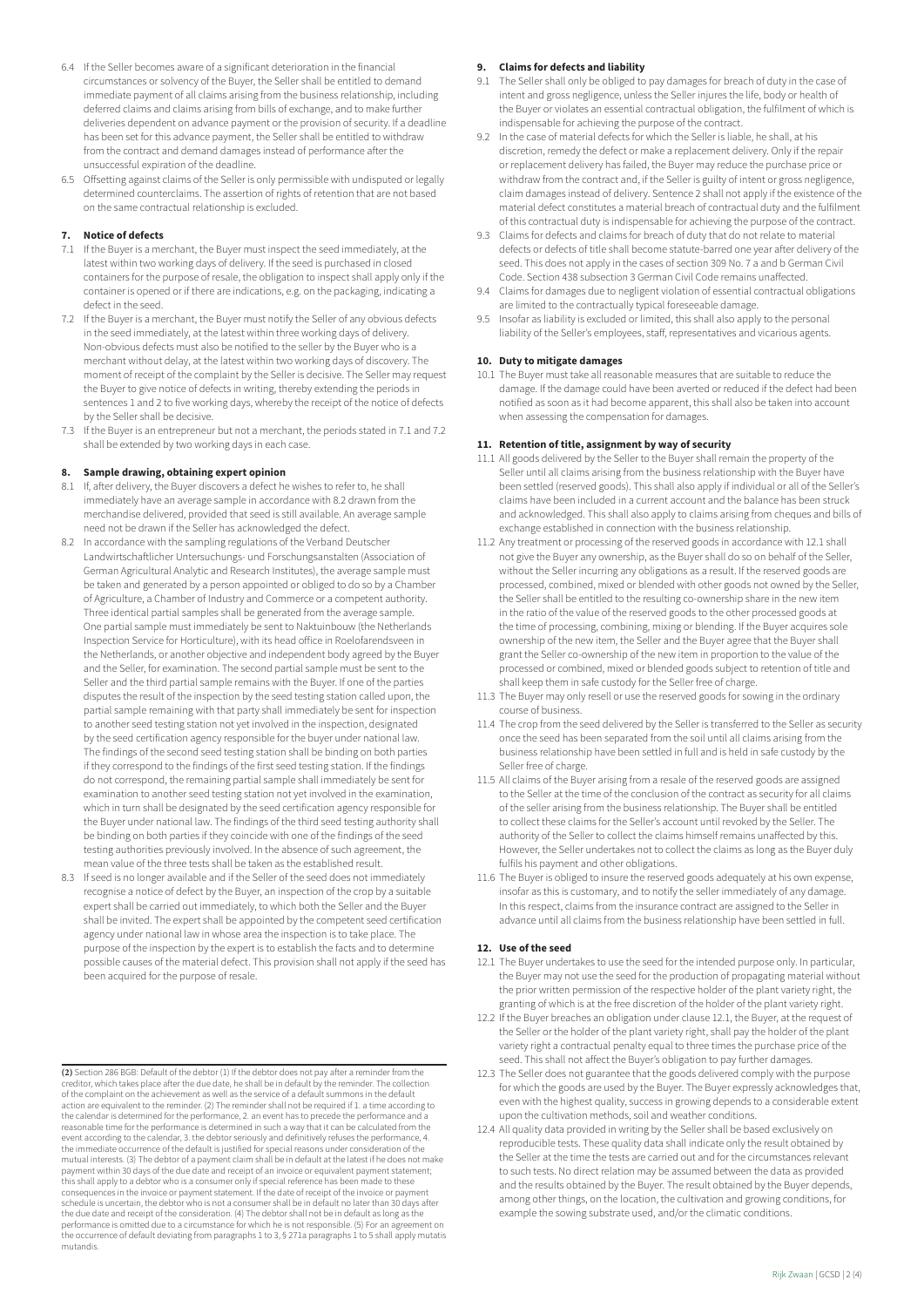- 6.4 If the Seller becomes aware of a significant deterioration in the financial circumstances or solvency of the Buyer, the Seller shall be entitled to demand immediate payment of all claims arising from the business relationship, including deferred claims and claims arising from bills of exchange, and to make further deliveries dependent on advance payment or the provision of security. If a deadline has been set for this advance payment, the Seller shall be entitled to withdraw from the contract and demand damages instead of performance after the unsuccessful expiration of the deadline.
- 6.5 Offsetting against claims of the Seller is only permissible with undisputed or legally determined counterclaims. The assertion of rights of retention that are not based on the same contractual relationship is excluded.

#### **7. Notice of defects**

- 7.1 If the Buyer is a merchant, the Buyer must inspect the seed immediately, at the latest within two working days of delivery. If the seed is purchased in closed containers for the purpose of resale, the obligation to inspect shall apply only if the container is opened or if there are indications, e.g. on the packaging, indicating a defect in the seed.
- 7.2 If the Buyer is a merchant, the Buyer must notify the Seller of any obvious defects in the seed immediately, at the latest within three working days of delivery. Non-obvious defects must also be notified to the seller by the Buyer who is a merchant without delay, at the latest within two working days of discovery. The moment of receipt of the complaint by the Seller is decisive. The Seller may request the Buyer to give notice of defects in writing, thereby extending the periods in sentences 1 and 2 to five working days, whereby the receipt of the notice of defects by the Seller shall be decisive.
- 7.3 If the Buyer is an entrepreneur but not a merchant, the periods stated in 7.1 and 7.2 shall be extended by two working days in each case.

# **8. Sample drawing, obtaining expert opinion**

- 8.1 If, after delivery, the Buyer discovers a defect he wishes to refer to, he shall immediately have an average sample in accordance with 8.2 drawn from the merchandise delivered, provided that seed is still available. An average sample need not be drawn if the Seller has acknowledged the defect.
- 8.2 In accordance with the sampling regulations of the Verband Deutscher Landwirtschaftlicher Untersuchungs- und Forschungsanstalten (Association of German Agricultural Analytic and Research Institutes), the average sample must be taken and generated by a person appointed or obliged to do so by a Chamber of Agriculture, a Chamber of Industry and Commerce or a competent authority. Three identical partial samples shall be generated from the average sample. One partial sample must immediately be sent to Naktuinbouw (the Netherlands Inspection Service for Horticulture), with its head office in Roelofarendsveen in the Netherlands, or another objective and independent body agreed by the Buyer and the Seller, for examination. The second partial sample must be sent to the Seller and the third partial sample remains with the Buyer. If one of the parties disputes the result of the inspection by the seed testing station called upon, the partial sample remaining with that party shall immediately be sent for inspection to another seed testing station not yet involved in the inspection, designated by the seed certification agency responsible for the buyer under national law. The findings of the second seed testing station shall be binding on both parties if they correspond to the findings of the first seed testing station. If the findings do not correspond, the remaining partial sample shall immediately be sent for examination to another seed testing station not yet involved in the examination, which in turn shall be designated by the seed certification agency responsible for the Buyer under national law. The findings of the third seed testing authority shall be binding on both parties if they coincide with one of the findings of the seed testing authorities previously involved. In the absence of such agreement, the mean value of the three tests shall be taken as the established result.
- 8.3 If seed is no longer available and if the Seller of the seed does not immediately recognise a notice of defect by the Buyer, an inspection of the crop by a suitable expert shall be carried out immediately, to which both the Seller and the Buyer shall be invited. The expert shall be appointed by the competent seed certification agency under national law in whose area the inspection is to take place. The purpose of the inspection by the expert is to establish the facts and to determine possible causes of the material defect. This provision shall not apply if the seed has been acquired for the purpose of resale.

# **9. Claims for defects and liability**

- 9.1 The Seller shall only be obliged to pay damages for breach of duty in the case of intent and gross negligence, unless the Seller injures the life, body or health of the Buyer or violates an essential contractual obligation, the fulfilment of which is indispensable for achieving the purpose of the contract.
- 9.2 In the case of material defects for which the Seller is liable, he shall, at his discretion, remedy the defect or make a replacement delivery. Only if the repair or replacement delivery has failed, the Buyer may reduce the purchase price or withdraw from the contract and, if the Seller is guilty of intent or gross negligence, claim damages instead of delivery. Sentence 2 shall not apply if the existence of the material defect constitutes a material breach of contractual duty and the fulfilment of this contractual duty is indispensable for achieving the purpose of the contract.
- 9.3 Claims for defects and claims for breach of duty that do not relate to material defects or defects of title shall become statute-barred one year after delivery of the seed. This does not apply in the cases of section 309 No. 7 a and b German Civil Code. Section 438 subsection 3 German Civil Code remains unaffected.
- 9.4 Claims for damages due to negligent violation of essential contractual obligations are limited to the contractually typical foreseeable damage.
- 9.5 Insofar as liability is excluded or limited, this shall also apply to the personal liability of the Seller's employees, staff, representatives and vicarious agents.

#### **10. Duty to mitigate damages**

10.1 The Buyer must take all reasonable measures that are suitable to reduce the damage. If the damage could have been averted or reduced if the defect had been notified as soon as it had become apparent, this shall also be taken into account when assessing the compensation for damages.

#### **11. Retention of title, assignment by way of security**

- 11.1 All goods delivered by the Seller to the Buyer shall remain the property of the Seller until all claims arising from the business relationship with the Buyer have been settled (reserved goods). This shall also apply if individual or all of the Seller's claims have been included in a current account and the balance has been struck and acknowledged. This shall also apply to claims arising from cheques and bills of exchange established in connection with the business relationship.
- 11.2 Any treatment or processing of the reserved goods in accordance with 12.1 shall not give the Buyer any ownership, as the Buyer shall do so on behalf of the Seller, without the Seller incurring any obligations as a result. If the reserved goods are processed, combined, mixed or blended with other goods not owned by the Seller, the Seller shall be entitled to the resulting co-ownership share in the new item in the ratio of the value of the reserved goods to the other processed goods at the time of processing, combining, mixing or blending. If the Buyer acquires sole ownership of the new item, the Seller and the Buyer agree that the Buyer shall grant the Seller co-ownership of the new item in proportion to the value of the processed or combined, mixed or blended goods subject to retention of title and shall keep them in safe custody for the Seller free of charge.
- 11.3 The Buyer may only resell or use the reserved goods for sowing in the ordinary course of business.
- 11.4 The crop from the seed delivered by the Seller is transferred to the Seller as security once the seed has been separated from the soil until all claims arising from the business relationship have been settled in full and is held in safe custody by the Seller free of charge.
- 11.5 All claims of the Buyer arising from a resale of the reserved goods are assigned to the Seller at the time of the conclusion of the contract as security for all claims of the seller arising from the business relationship. The Buyer shall be entitled to collect these claims for the Seller's account until revoked by the Seller. The authority of the Seller to collect the claims himself remains unaffected by this. However, the Seller undertakes not to collect the claims as long as the Buyer duly fulfils his payment and other obligations.
- 11.6 The Buyer is obliged to insure the reserved goods adequately at his own expense, insofar as this is customary, and to notify the seller immediately of any damage. In this respect, claims from the insurance contract are assigned to the Seller in advance until all claims from the business relationship have been settled in full.

#### **12. Use of the seed**

- 12.1 The Buyer undertakes to use the seed for the intended purpose only. In particular, the Buyer may not use the seed for the production of propagating material without the prior written permission of the respective holder of the plant variety right, the granting of which is at the free discretion of the holder of the plant variety right.
- 12.2 If the Buyer breaches an obligation under clause 12.1, the Buyer, at the request of the Seller or the holder of the plant variety right, shall pay the holder of the plant variety right a contractual penalty equal to three times the purchase price of the seed. This shall not affect the Buyer's obligation to pay further damages.
- 12.3 The Seller does not guarantee that the goods delivered comply with the purpose for which the goods are used by the Buyer. The Buyer expressly acknowledges that, even with the highest quality, success in growing depends to a considerable extent upon the cultivation methods, soil and weather conditions.
- 12.4 All quality data provided in writing by the Seller shall be based exclusively on reproducible tests. These quality data shall indicate only the result obtained by the Seller at the time the tests are carried out and for the circumstances relevant to such tests. No direct relation may be assumed between the data as provided and the results obtained by the Buyer. The result obtained by the Buyer depends, among other things, on the location, the cultivation and growing conditions, for example the sowing substrate used, and/or the climatic conditions.

**<sup>(2)</sup>** Section 286 BGB: Default of the debtor (1) If the debtor does not pay after a reminder from the creditor, which takes place after the due date, he shall be in default by the reminder. The collection of the complaint on the achievement as well as the service of a default summons in the default action are equivalent to the reminder. (2) The reminder shall not be required if 1. a time according to the calendar is determined for the performance, 2. an event has to precede the performance and a reasonable time for the performance is determined in such a way that it can be calculated from the event according to the calendar, 3. the debtor seriously and definitively refuses the performance, 4. the immediate occurrence of the default is justified for special reasons under consideration of the mutual interests. (3) The debtor of a payment claim shall be in default at the latest if he does not make payment within 30 days of the due date and receipt of an invoice or equivalent payment statement; this shall apply to a debtor who is a consumer only if special reference has been made to these consequences in the invoice or payment statement. If the date of receipt of the invoice or payment schedule is uncertain, the debtor who is not a consumer shall be in default no later than 30 days after the due date and receipt of the consideration. (4) The debtor shall not be in default as long as the performance is omitted due to a circumstance for which he is not responsible. (5) For an agreement on the occurrence of default deviating from paragraphs 1 to 3, § 271a paragraphs 1 to 5 shall apply mutatis mutandis.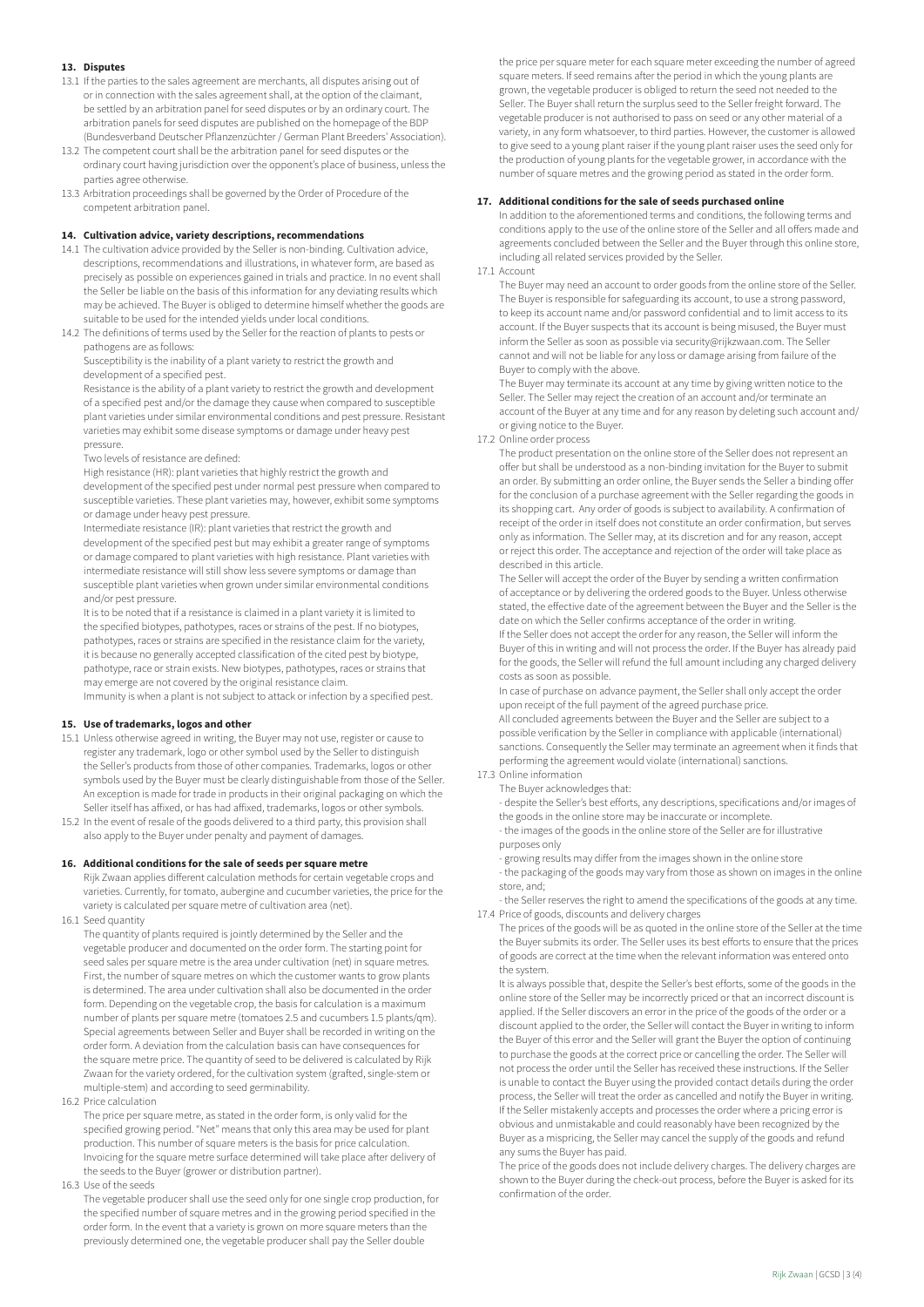# **13. Disputes**

- 13.1 If the parties to the sales agreement are merchants, all disputes arising out of or in connection with the sales agreement shall, at the option of the claimant, be settled by an arbitration panel for seed disputes or by an ordinary court. The arbitration panels for seed disputes are published on the homepage of the BDP (Bundesverband Deutscher Pflanzenzüchter / German Plant Breeders' Association).
- 13.2 The competent court shall be the arbitration panel for seed disputes or the ordinary court having jurisdiction over the opponent's place of business, unless the parties agree otherwise.
- 13.3 Arbitration proceedings shall be governed by the Order of Procedure of the competent arbitration panel.

## **14. Cultivation advice, variety descriptions, recommendations**

- 14.1 The cultivation advice provided by the Seller is non-binding. Cultivation advice, descriptions, recommendations and illustrations, in whatever form, are based as precisely as possible on experiences gained in trials and practice. In no event shall the Seller be liable on the basis of this information for any deviating results which may be achieved. The Buyer is obliged to determine himself whether the goods are suitable to be used for the intended yields under local conditions.
- 14.2 The definitions of terms used by the Seller for the reaction of plants to pests or pathogens are as follows:

Susceptibility is the inability of a plant variety to restrict the growth and development of a specified pest.

Resistance is the ability of a plant variety to restrict the growth and development of a specified pest and/or the damage they cause when compared to susceptible plant varieties under similar environmental conditions and pest pressure. Resistant varieties may exhibit some disease symptoms or damage under heavy pest pressure.

.<br>Two levels of resistance are defined:

High resistance (HR): plant varieties that highly restrict the growth and development of the specified pest under normal pest pressure when compared to susceptible varieties. These plant varieties may, however, exhibit some symptoms or damage under heavy pest pressure.

Intermediate resistance (IR): plant varieties that restrict the growth and development of the specified pest but may exhibit a greater range of symptoms or damage compared to plant varieties with high resistance. Plant varieties with intermediate resistance will still show less severe symptoms or damage than susceptible plant varieties when grown under similar environmental conditions and/or pest pressure.

It is to be noted that if a resistance is claimed in a plant variety it is limited to the specified biotypes, pathotypes, races or strains of the pest. If no biotypes, pathotypes, races or strains are specified in the resistance claim for the variety, it is because no generally accepted classification of the cited pest by biotype, pathotype, race or strain exists. New biotypes, pathotypes, races or strains that may emerge are not covered by the original resistance claim.

Immunity is when a plant is not subject to attack or infection by a specified pest.

#### **15. Use of trademarks, logos and other**

- 15.1 Unless otherwise agreed in writing, the Buyer may not use, register or cause to register any trademark, logo or other symbol used by the Seller to distinguish the Seller's products from those of other companies. Trademarks, logos or other symbols used by the Buyer must be clearly distinguishable from those of the Seller. An exception is made for trade in products in their original packaging on which the Seller itself has affixed, or has had affixed, trademarks, logos or other symbols.
- 15.2 In the event of resale of the goods delivered to a third party, this provision shall also apply to the Buyer under penalty and payment of damages.

# **16. Additional conditions for the sale of seeds per square metre**

- Rijk Zwaan applies different calculation methods for certain vegetable crops and varieties. Currently, for tomato, aubergine and cucumber varieties, the price for the variety is calculated per square metre of cultivation area (net).
- 16.1 Seed quantity

The quantity of plants required is jointly determined by the Seller and the vegetable producer and documented on the order form. The starting point for seed sales per square metre is the area under cultivation (net) in square metres. First, the number of square metres on which the customer wants to grow plants is determined. The area under cultivation shall also be documented in the order form. Depending on the vegetable crop, the basis for calculation is a maximum number of plants per square metre (tomatoes 2.5 and cucumbers 1.5 plants/qm). Special agreements between Seller and Buyer shall be recorded in writing on the order form. A deviation from the calculation basis can have consequences for the square metre price. The quantity of seed to be delivered is calculated by Rijk Zwaan for the variety ordered, for the cultivation system (grafted, single-stem or multiple-stem) and according to seed germinability.

16.2 Price calculation

The price per square metre, as stated in the order form, is only valid for the specified growing period. "Net" means that only this area may be used for plant production. This number of square meters is the basis for price calculation. Invoicing for the square metre surface determined will take place after delivery of the seeds to the Buyer (grower or distribution partner).

16.3 Use of the seeds

The vegetable producer shall use the seed only for one single crop production, for the specified number of square metres and in the growing period specified in the order form. In the event that a variety is grown on more square meters than the previously determined one, the vegetable producer shall pay the Seller double

the price per square meter for each square meter exceeding the number of agreed square meters. If seed remains after the period in which the young plants are grown, the vegetable producer is obliged to return the seed not needed to the Seller. The Buyer shall return the surplus seed to the Seller freight forward. The vegetable producer is not authorised to pass on seed or any other material of a variety, in any form whatsoever, to third parties. However, the customer is allowed to give seed to a young plant raiser if the young plant raiser uses the seed only for the production of young plants for the vegetable grower, in accordance with the number of square metres and the growing period as stated in the order form.

## **17. Additional conditions for the sale of seeds purchased online**

In addition to the aforementioned terms and conditions, the following terms and conditions apply to the use of the online store of the Seller and all offers made and agreements concluded between the Seller and the Buyer through this online store, including all related services provided by the Seller.

17.1 Account

The Buyer may need an account to order goods from the online store of the Seller. The Buyer is responsible for safeguarding its account, to use a strong password, to keep its account name and/or password confidential and to limit access to its account. If the Buyer suspects that its account is being misused, the Buyer must inform the Seller as soon as possible via security@rijkzwaan.com. The Seller cannot and will not be liable for any loss or damage arising from failure of the Buyer to comply with the above.

The Buyer may terminate its account at any time by giving written notice to the Seller. The Seller may reject the creation of an account and/or terminate an account of the Buyer at any time and for any reason by deleting such account and/ or giving notice to the Buyer.

#### 17.2 Online order process

The product presentation on the online store of the Seller does not represent an offer but shall be understood as a non-binding invitation for the Buyer to submit an order. By submitting an order online, the Buyer sends the Seller a binding offer for the conclusion of a purchase agreement with the Seller regarding the goods in its shopping cart. Any order of goods is subject to availability. A confirmation of receipt of the order in itself does not constitute an order confirmation, but serves only as information. The Seller may, at its discretion and for any reason, accept or reject this order. The acceptance and rejection of the order will take place as described in this article.

The Seller will accept the order of the Buyer by sending a written confirmation of acceptance or by delivering the ordered goods to the Buyer. Unless otherwise stated, the effective date of the agreement between the Buyer and the Seller is the date on which the Seller confirms acceptance of the order in writing.

If the Seller does not accept the order for any reason, the Seller will inform the Buyer of this in writing and will not process the order. If the Buyer has already paid for the goods, the Seller will refund the full amount including any charged delivery costs as soon as possible.

In case of purchase on advance payment, the Seller shall only accept the order upon receipt of the full payment of the agreed purchase price. All concluded agreements between the Buyer and the Seller are subject to a possible verification by the Seller in compliance with applicable (international) sanctions. Consequently the Seller may terminate an agreement when it finds that performing the agreement would violate (international) sanctions.

#### 17.3 Online information

The Buyer acknowledges that:

- despite the Seller's best efforts, any descriptions, specifications and/or images of the goods in the online store may be inaccurate or incomplete.

- the images of the goods in the online store of the Seller are for illustrative purposes only

- growing results may differ from the images shown in the online store - the packaging of the goods may vary from those as shown on images in the online

store, and; - the Seller reserves the right to amend the specifications of the goods at any time.

17.4 Price of goods, discounts and delivery charges

The prices of the goods will be as quoted in the online store of the Seller at the time the Buyer submits its order. The Seller uses its best efforts to ensure that the prices of goods are correct at the time when the relevant information was entered onto the system.

It is always possible that, despite the Seller's best efforts, some of the goods in the online store of the Seller may be incorrectly priced or that an incorrect discount is applied. If the Seller discovers an error in the price of the goods of the order or a discount applied to the order, the Seller will contact the Buyer in writing to inform the Buyer of this error and the Seller will grant the Buyer the option of continuing to purchase the goods at the correct price or cancelling the order. The Seller will not process the order until the Seller has received these instructions. If the Seller is unable to contact the Buyer using the provided contact details during the order process, the Seller will treat the order as cancelled and notify the Buyer in writing. If the Seller mistakenly accepts and processes the order where a pricing error is obvious and unmistakable and could reasonably have been recognized by the Buyer as a mispricing, the Seller may cancel the supply of the goods and refund any sums the Buyer has paid.

The price of the goods does not include delivery charges. The delivery charges are shown to the Buyer during the check-out process, before the Buyer is asked for its confirmation of the order.